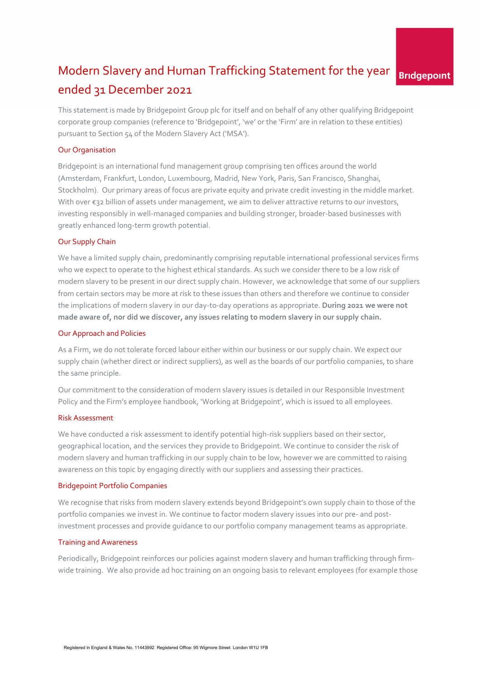# Modern Slavery and Human Trafficking Statement for the year **Bridgepoint** ended 31 December 2021

This statement is made by Bridgepoint Group plc for itself and on behalf of any other qualifying Bridgepoint corporate group companies (reference to 'Bridgepoint', 'we' or the 'Firm' are in relation to these entities) pursuant to Section 54 of the Modern Slavery Act ('MSA').

# Our Organisation

Bridgepoint is an international fund management group comprising ten offices around the world (Amsterdam, Frankfurt, London, Luxembourg, Madrid, New York, Paris, San Francisco, Shanghai, Stockholm). Our primary areas of focus are private equity and private credit investing in the middle market. With over €32 billion of assets under management, we aim to deliver attractive returns to our investors, investing responsibly in well-managed companies and building stronger, broader-based businesses with greatly enhanced long-term growth potential.

# Our Supply Chain

We have a limited supply chain, predominantly comprising reputable international professional services firms who we expect to operate to the highest ethical standards. As such we consider there to be a low risk of modern slavery to be present in our direct supply chain. However, we acknowledge that some of our suppliers from certain sectors may be more at risk to these issues than others and therefore we continue to consider the implications of modern slavery in our day-to-day operations as appropriate. **During 2021 we were not made aware of, nor did we discover, any issues relating to modern slavery in our supply chain.** 

## Our Approach and Policies

As a Firm, we do not tolerate forced labour either within our business or our supply chain. We expect our supply chain (whether direct or indirect suppliers), as well as the boards of our portfolio companies, to share the same principle.

Our commitment to the consideration of modern slavery issues is detailed in our Responsible Investment Policy and the Firm's employee handbook, 'Working at Bridgepoint', which is issued to all employees.

## Risk Assessment

We have conducted a risk assessment to identify potential high-risk suppliers based on their sector, geographical location, and the services they provide to Bridgepoint. We continue to consider the risk of modern slavery and human trafficking in our supply chain to be low, however we are committed to raising awareness on this topic by engaging directly with our suppliers and assessing their practices.

#### Bridgepoint Portfolio Companies

We recognise that risks from modern slavery extends beyond Bridgepoint's own supply chain to those of the portfolio companies we invest in. We continue to factor modern slavery issues into our pre- and postinvestment processes and provide guidance to our portfolio company management teams as appropriate.

#### Training and Awareness

Periodically, Bridgepoint reinforces our policies against modern slavery and human trafficking through firmwide training. We also provide ad hoc training on an ongoing basis to relevant employees (for example those